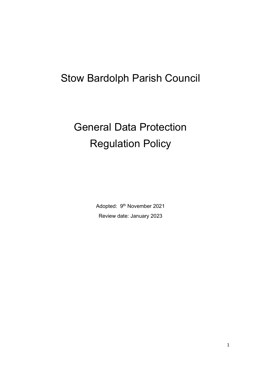# Stow Bardolph Parish Council

# General Data Protection Regulation Policy

Adopted: 9<sup>th</sup> November 2021 Review date: January 2023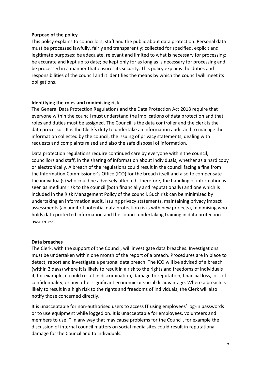#### **Purpose of the policy**

This policy explains to councillors, staff and the public about data protection. Personal data must be processed lawfully, fairly and transparently; collected for specified, explicit and legitimate purposes; be adequate, relevant and limited to what is necessary for processing; be accurate and kept up to date; be kept only for as long as is necessary for processing and be processed in a manner that ensures its security. This policy explains the duties and responsibilities of the council and it identifies the means by which the council will meet its obligations.

# **Identifying the roles and minimising risk**

The General Data Protection Regulations and the Data Protection Act 2018 require that everyone within the council must understand the implications of data protection and that roles and duties must be assigned. The Council is the data controller and the clerk is the data processor. It is the Clerk's duty to undertake an information audit and to manage the information collected by the council, the issuing of privacy statements, dealing with requests and complaints raised and also the safe disposal of information.

Data protection regulations require continued care by everyone within the council, councillors and staff, in the sharing of information about individuals, whether as a hard copy or electronically. A breach of the regulations could result in the council facing a fine from the Information Commissioner's Office (ICO) for the breach itself and also to compensate the individual(s) who could be adversely affected. Therefore, the handling of information is seen as medium risk to the council (both financially and reputationally) and one which is included in the Risk Management Policy of the council. Such risk can be minimised by undertaking an information audit, issuing privacy statements, maintaining privacy impact assessments (an audit of potential data protection risks with new projects), minimising who holds data protected information and the council undertaking training in data protection awareness.

#### **Data breaches**

The Clerk, with the support of the Council, will investigate data breaches. Investigations must be undertaken within one month of the report of a breach. Procedures are in place to detect, report and investigate a personal data breach. The ICO will be advised of a breach (within 3 days) where it is likely to result in a risk to the rights and freedoms of individuals – if, for example, it could result in discrimination, damage to reputation, financial loss, loss of confidentiality, or any other significant economic or social disadvantage. Where a breach is likely to result in a high risk to the rights and freedoms of individuals, the Clerk will also notify those concerned directly.

It is unacceptable for non-authorised users to access IT using employees' log-in passwords or to use equipment while logged on. It is unacceptable for employees, volunteers and members to use IT in any way that may cause problems for the Council, for example the discussion of internal council matters on social media sites could result in reputational damage for the Council and to individuals.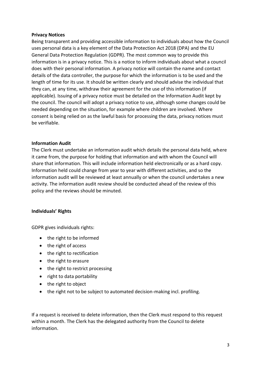#### **Privacy Notices**

Being transparent and providing accessible information to individuals about how the Council uses personal data is a key element of the Data Protection Act 2018 (DPA) and the EU General Data Protection Regulation (GDPR). The most common way to provide this information is in a privacy notice. This is a notice to inform individuals about what a council does with their personal information. A privacy notice will contain the name and contact details of the data controller, the purpose for which the information is to be used and the length of time for its use. It should be written clearly and should advise the individual that they can, at any time, withdraw their agreement for the use of this information (if applicable). Issuing of a privacy notice must be detailed on the Information Audit kept by the council. The council will adopt a privacy notice to use, although some changes could be needed depending on the situation, for example where children are involved. Where consent is being relied on as the lawful basis for processing the data, privacy notices must be verifiable.

#### **Information Audit**

The Clerk must undertake an information audit which details the personal data held, where it came from, the purpose for holding that information and with whom the Council will share that information. This will include information held electronically or as a hard copy. Information held could change from year to year with different activities, and so the information audit will be reviewed at least annually or when the council undertakes a new activity. The information audit review should be conducted ahead of the review of this policy and the reviews should be minuted.

# **Individuals' Rights**

GDPR gives individuals rights:

- the right to be informed
- the right of access
- the right to rectification
- the right to erasure
- the right to restrict processing
- right to data portability
- the right to object
- the right not to be subject to automated decision-making incl. profiling.

If a request is received to delete information, then the Clerk must respond to this request within a month. The Clerk has the delegated authority from the Council to delete information.